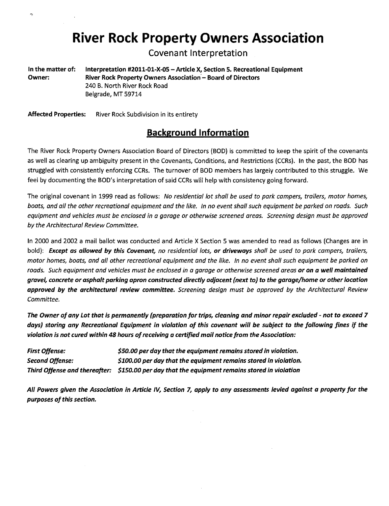## **River Rock Property Owners Association**

Covenant Interpretation

In the matter of: Interpretation #2011-01-X-05 - Article X, Section 5. Recreational Equipment Owner: River Rock Property Owners Association - Board of Directors 240 B. North River Rock Road Belgrade, MT 59714

Affected Properties: River Rock Subdivision in its entirety

## **Background Information**

The River Rock Property Owners Association Board of Directors (BOD) is committed to keep the spirit of the covenants as well as clearing up ambiguity present in the Covenants, Conditions, and Restrictions (CCRs). In the past, the BOD has struggled with consistently enforcing CCRs. The turnover of BOD members has largely contributed to this struggle. We feel by documenting the BOD's interpretation of said CCRs will help with consistency going forward.

The original covenant in 1999 read as follows: *No residential lot shall be used* to *park campers, trailers, motor homes, boats, and all the other recreational equipment and the like. In no event shall such equipment be parked on roads. Such equipment and vehicles must be enclosed in a garage or otherwise screened areas. Screening design must be approved by the Architectural Review Committee.* 

In 2000 and 2002 a mail ballot was conducted and Article X Section 5 was amended to read as follows (Changes are in bold): *Except as aI/owed by this Covenant, no residential lots, or driveways shall be used to park campers, trailers, motor homes, boats, and all other recreational equipment and the like. In no event shall such equipment be parked on roads. Such equipment and vehicles must be enclosed in a garage or otherwise screened areas or* on *a well maintained gravel, concrete or asphalt parking apron constructed directly adjacent (next to) to the garage/home or other location approved by the architectural review committee. Screening design must be approved by the Architectural Review Committee.* 

*The Owner ofany Lot that is permanently (preparation for trips, cleaning and minor repair excluded* - *not to exceed 7 days) storing any Recreational Equipment in violation of this covenant will be subject to the fol/owing fines if the violation is not cured within* 48 *hours ofreceiving a certified mail notice from the Association:* 

| <b>First Offense:</b> | \$50.00 per day that the equipment remains stored in violation.                               |
|-----------------------|-----------------------------------------------------------------------------------------------|
| Second Offense:       | \$100.00 per day that the equipment remains stored in violation.                              |
|                       | Third Offense and thereafter: \$150.00 per day that the equipment remains stored in violation |

*All Powers given the Association in Article IV, Section* 7, *apply to any assessments levied against a property for the purposes of this section.*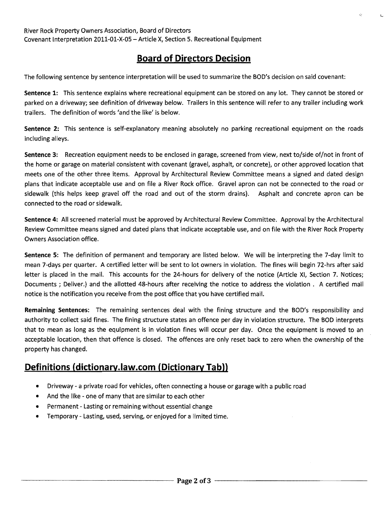## **Board of Directors Decision**

The following sentence by sentence interpretation will be used to summarize the BOD's decision on said covenant:

Sentence 1: This sentence explains where recreational equipment can be stored on any lot. They cannot be stored or parked on a driveway; see definition of driveway below. Trailers in this sentence will refer to any trailer including work trailers. The definition of words {and the like' is below.

Sentence 2: This sentence is self-explanatory meaning absolutely no parking recreational equipment on the roads including alleys.

Sentence 3: Recreation equipment needs to be enclosed in garage, screened from view, next to/side of/not in front of the home or garage on material consistent with covenant (gravel, asphalt, or concrete), or other approved location that meets one of the other three items. Approval by Architectural Review Committee means a signed and dated design plans that indicate acceptable use and on file a River Rock office. Gravel apron can not be connected to the road or sidewalk (this helps keep gravel off the road and out of the storm drains). Asphalt and concrete apron can be connected to the road or sidewalk.

Sentence 4: All screened material must be approved by Architectural Review Committee. Approval by the Architectural Review Committee means signed and dated plans that indicate acceptable use, and on file with the River Rock Property Owners Association office.

Sentence 5: The definition of permanent and temporary are listed below. We will be interpreting the 7-day limit to mean 7-days per quarter. A certified letter will be sent to lot owners in violation. The fines will begin 72-hrs after said letter is placed in the mail. This accounts for the 24-hours for delivery of the notice (Article XI, Section 7. Notices; Documents; Deliver.) and the allotted 48-hours after receiving the notice to address the violation. A certified mail notice is the notification you receive from the post office that you have certified mail.

Remaining Sentences: The remaining sentences deal with the fining structure and the BOD's responsibility and authority to collect said fines. The fining structure states an offence per day in violation structure. The BOD interprets that to mean as long as the equipment is in violation fines will occur per day. Once the equipment is moved to an acceptable location, then that offence is closed. The offences are only reset back to zero when the ownership of the property has changed.

## **Definitions (dictionary.law.com (Dictionary Tab))**

- Driveway a private road for vehicles, often connecting a house or garage with a public road
- And the like one of many that are similar to each other
- Permanent Lasting or remaining without essential change
- Temporary Lasting, used, serving, or enjoyed for a limited time.